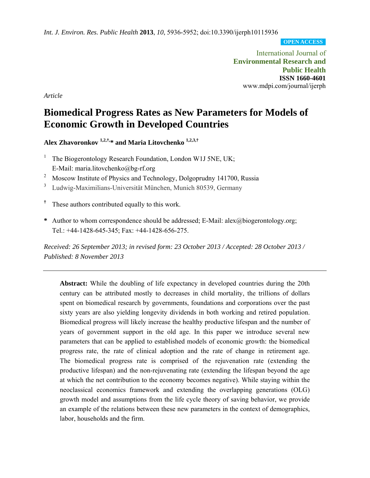**OPEN ACCESS**

International Journal of **Environmental Research and Public Health ISSN 1660-4601**  www.mdpi.com/journal/ijerph

*Article* 

# **Biomedical Progress Rates as New Parameters for Models of Economic Growth in Developed Countries**

**Alex Zhavoronkov 1,2,†,\* and Maria Litovchenko 1,2,3,†** 

- The Biogerontology Research Foundation, London W1J 5NE, UK; E-Mail: maria.litovchenko@bg-rf.org
- 2 Moscow Institute of Physics and Technology, Dolgoprudny 141700, Russia
- 3 Ludwig-Maximilians-Universität München, Munich 80539, Germany
- **†** These authors contributed equally to this work.
- **\*** Author to whom correspondence should be addressed; E-Mail: alex@biogerontology.org; Tel.: +44-1428-645-345; Fax: +44-1428-656-275.

*Received: 26 September 2013; in revised form: 23 October 2013 / Accepted: 28 October 2013 / Published: 8 November 2013* 

**Abstract:** While the doubling of life expectancy in developed countries during the 20th century can be attributed mostly to decreases in child mortality, the trillions of dollars spent on biomedical research by governments, foundations and corporations over the past sixty years are also yielding longevity dividends in both working and retired population. Biomedical progress will likely increase the healthy productive lifespan and the number of years of government support in the old age. In this paper we introduce several new parameters that can be applied to established models of economic growth: the biomedical progress rate, the rate of clinical adoption and the rate of change in retirement age. The biomedical progress rate is comprised of the rejuvenation rate (extending the productive lifespan) and the non-rejuvenating rate (extending the lifespan beyond the age at which the net contribution to the economy becomes negative). While staying within the neoclassical economics framework and extending the overlapping generations (OLG) growth model and assumptions from the life cycle theory of saving behavior, we provide an example of the relations between these new parameters in the context of demographics, labor, households and the firm.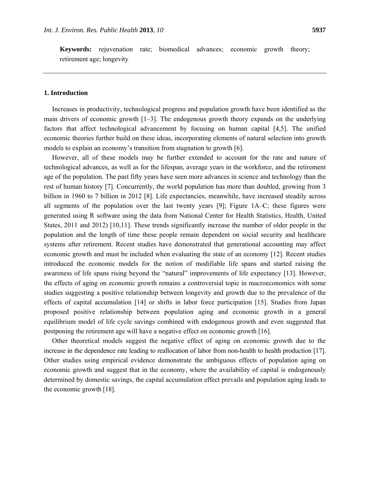**Keywords:** rejuvenation rate; biomedical advances; economic growth theory; retirement age; longevity

# **1. Introduction**

Increases in productivity, technological progress and population growth have been identified as the main drivers of economic growth  $[1-3]$ . The endogenous growth theory expands on the underlying factors that affect technological advancement by focusing on human capital [4,5]. The unified economic theories further build on these ideas, incorporating elements of natural selection into growth models to explain an economy's transition from stagnation to growth [6].

However, all of these models may be further extended to account for the rate and nature of technological advances, as well as for the lifespan, average years in the workforce, and the retirement age of the population. The past fifty years have seen more advances in science and technology than the rest of human history [7]. Concurrently, the world population has more than doubled, growing from 3 billion in 1960 to 7 billion in 2012 [8]. Life expectancies, meanwhile, have increased steadily across all segments of the population over the last twenty years [9]; Figure 1A–C; these figures were generated using R software using the data from National Center for Health Statistics, Health, United States, 2011 and 2012) [10,11]. These trends significantly increase the number of older people in the population and the length of time these people remain dependent on social security and healthcare systems after retirement. Recent studies have demonstrated that generational accounting may affect economic growth and must be included when evaluating the state of an economy [12]. Recent studies introduced the economic models for the notion of modifiable life spans and started raising the awareness of life spans rising beyond the "natural" improvements of life expectancy [13]. However, the effects of aging on economic growth remains a controversial topic in macroeconomics with some studies suggesting a positive relationship between longevity and growth due to the prevalence of the effects of capital accumulation [14] or shifts in labor force participation [15]. Studies from Japan proposed positive relationship between population aging and economic growth in a general equilibrium model of life cycle savings combined with endogenous growth and even suggested that postponing the retirement age will have a negative effect on economic growth [16].

Other theoretical models suggest the negative effect of aging on economic growth due to the increase in the dependence rate leading to reallocation of labor from non-health to health production [17]. Other studies using empirical evidence demonstrate the ambiguous effects of population aging on economic growth and suggest that in the economy, where the availability of capital is endogenously determined by domestic savings, the capital accumulation effect prevails and population aging leads to the economic growth [18].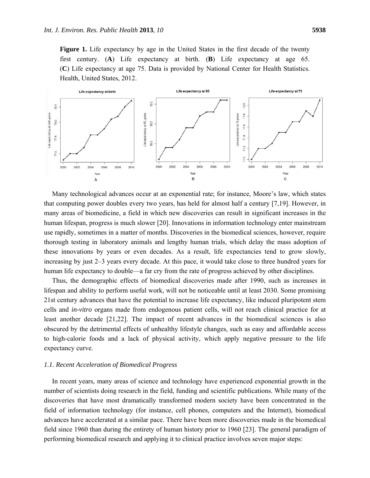**Figure 1.** Life expectancy by age in the United States in the first decade of the twenty first century. (**A**) Life expectancy at birth. (**B**) Life expectancy at age 65. (**C**) Life expectancy at age 75. Data is provided by National Center for Health Statistics. Health, United States, 2012.



Many technological advances occur at an exponential rate; for instance, Moore's law, which states that computing power doubles every two years, has held for almost half a century [7,19]. However, in many areas of biomedicine, a field in which new discoveries can result in significant increases in the human lifespan, progress is much slower [20]. Innovations in information technology enter mainstream use rapidly, sometimes in a matter of months. Discoveries in the biomedical sciences, however, require thorough testing in laboratory animals and lengthy human trials, which delay the mass adoption of these innovations by years or even decades. As a result, life expectancies tend to grow slowly, increasing by just 2–3 years every decade. At this pace, it would take close to three hundred years for human life expectancy to double—a far cry from the rate of progress achieved by other disciplines.

Thus, the demographic effects of biomedical discoveries made after 1990, such as increases in lifespan and ability to perform useful work, will not be noticeable until at least 2030. Some promising 21st century advances that have the potential to increase life expectancy, like induced pluripotent stem cells and *in-vitro* organs made from endogenous patient cells, will not reach clinical practice for at least another decade [21,22]. The impact of recent advances in the biomedical sciences is also obscured by the detrimental effects of unhealthy lifestyle changes, such as easy and affordable access to high-calorie foods and a lack of physical activity, which apply negative pressure to the life expectancy curve.

## *1.1. Recent Acceleration of Biomedical Progress*

In recent years, many areas of science and technology have experienced exponential growth in the number of scientists doing research in the field, funding and scientific publications. While many of the discoveries that have most dramatically transformed modern society have been concentrated in the field of information technology (for instance, cell phones, computers and the Internet), biomedical advances have accelerated at a similar pace. There have been more discoveries made in the biomedical field since 1960 than during the entirety of human history prior to 1960 [23]. The general paradigm of performing biomedical research and applying it to clinical practice involves seven major steps: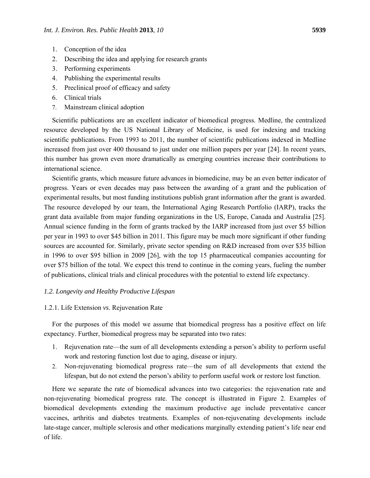- 1. Conception of the idea
- 2. Describing the idea and applying for research grants
- 3. Performing experiments
- 4. Publishing the experimental results
- 5. Preclinical proof of efficacy and safety
- 6. Clinical trials
- 7. Mainstream clinical adoption

Scientific publications are an excellent indicator of biomedical progress. Medline, the centralized resource developed by the US National Library of Medicine, is used for indexing and tracking scientific publications. From 1993 to 2011, the number of scientific publications indexed in Medline increased from just over 400 thousand to just under one million papers per year [24]. In recent years, this number has grown even more dramatically as emerging countries increase their contributions to international science.

Scientific grants, which measure future advances in biomedicine, may be an even better indicator of progress. Years or even decades may pass between the awarding of a grant and the publication of experimental results, but most funding institutions publish grant information after the grant is awarded. The resource developed by our team, the International Aging Research Portfolio (IARP), tracks the grant data available from major funding organizations in the US, Europe, Canada and Australia [25]. Annual science funding in the form of grants tracked by the IARP increased from just over \$5 billion per year in 1993 to over \$45 billion in 2011. This figure may be much more significant if other funding sources are accounted for. Similarly, private sector spending on R&D increased from over \$35 billion in 1996 to over \$95 billion in 2009 [26], with the top 15 pharmaceutical companies accounting for over \$75 billion of the total. We expect this trend to continue in the coming years, fueling the number of publications, clinical trials and clinical procedures with the potential to extend life expectancy.

## *1.2. Longevity and Healthy Productive Lifespan*

## 1.2.1. Life Extension *vs*. Rejuvenation Rate

For the purposes of this model we assume that biomedical progress has a positive effect on life expectancy. Further, biomedical progress may be separated into two rates:

- 1. Rejuvenation rate—the sum of all developments extending a person's ability to perform useful work and restoring function lost due to aging, disease or injury.
- 2. Non-rejuvenating biomedical progress rate—the sum of all developments that extend the lifespan, but do not extend the person's ability to perform useful work or restore lost function.

Here we separate the rate of biomedical advances into two categories: the rejuvenation rate and non-rejuvenating biomedical progress rate. The concept is illustrated in Figure 2. Examples of biomedical developments extending the maximum productive age include preventative cancer vaccines, arthritis and diabetes treatments. Examples of non-rejuvenating developments include late-stage cancer, multiple sclerosis and other medications marginally extending patient's life near end of life.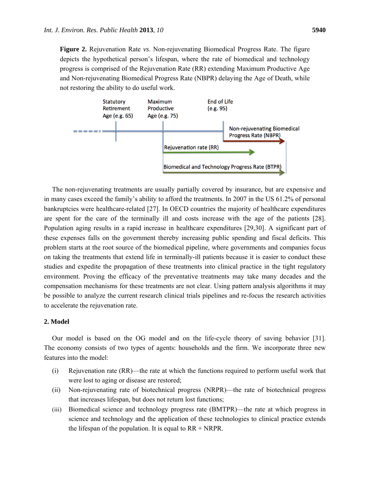**Figure 2.** Rejuvenation Rate *vs*. Non-rejuvenating Biomedical Progress Rate. The figure depicts the hypothetical person's lifespan, where the rate of biomedical and technology progress is comprised of the Rejuvenation Rate (RR) extending Maximum Productive Age and Non-rejuvenating Biomedical Progress Rate (NBPR) delaying the Age of Death, while not restoring the ability to do useful work.



The non-rejuvenating treatments are usually partially covered by insurance, but are expensive and in many cases exceed the family's ability to afford the treatments. In 2007 in the US 61.2% of personal bankruptcies were healthcare-related [27]. In OECD countries the majority of healthcare expenditures are spent for the care of the terminally ill and costs increase with the age of the patients [28]. Population aging results in a rapid increase in healthcare expenditures [29,30]. A significant part of these expenses falls on the government thereby increasing public spending and fiscal deficits. This problem starts at the root source of the biomedical pipeline, where governments and companies focus on taking the treatments that extend life in terminally-ill patients because it is easier to conduct these studies and expedite the propagation of these treatments into clinical practice in the tight regulatory environment. Proving the efficacy of the preventative treatments may take many decades and the compensation mechanisms for these treatments are not clear. Using pattern analysis algorithms it may be possible to analyze the current research clinical trials pipelines and re-focus the research activities to accelerate the rejuvenation rate.

# **2. Model**

Our model is based on the OG model and on the life-cycle theory of saving behavior [31]. The economy consists of two types of agents: households and the firm. We incorporate three new features into the model:

- (i) Rejuvenation rate (RR)—the rate at which the functions required to perform useful work that were lost to aging or disease are restored;
- (ii) Non-rejuvenating rate of biotechnical progress (NRPR)—the rate of biotechnical progress that increases lifespan, but does not return lost functions;
- (iii) Biomedical science and technology progress rate (BMTPR)—the rate at which progress in science and technology and the application of these technologies to clinical practice extends the lifespan of the population. It is equal to  $RR + NRPR$ .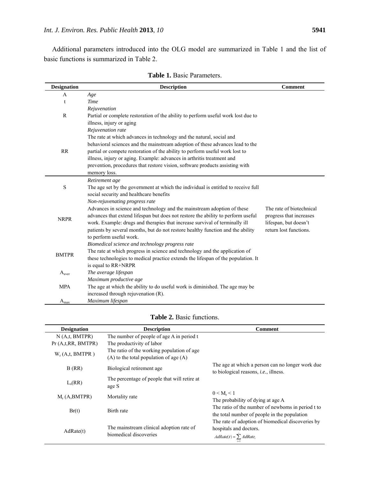Additional parameters introduced into the OLG model are summarized in Table 1 and the list of basic functions is summarized in Table 2.

| <b>Designation</b> | <b>Description</b>                                                                | Comment                  |
|--------------------|-----------------------------------------------------------------------------------|--------------------------|
| A                  | Age                                                                               |                          |
| t                  | <b>Time</b>                                                                       |                          |
|                    | Rejuvenation                                                                      |                          |
| $\mathbb{R}$       | Partial or complete restoration of the ability to perform useful work lost due to |                          |
|                    | illness, injury or aging                                                          |                          |
|                    | Rejuvenation rate                                                                 |                          |
|                    | The rate at which advances in technology and the natural, social and              |                          |
|                    | behavioral sciences and the mainstream adoption of these advances lead to the     |                          |
| <b>RR</b>          | partial or compete restoration of the ability to perform useful work lost to      |                          |
|                    | illness, injury or aging. Example: advances in arthritis treatment and            |                          |
|                    | prevention, procedures that restore vision, software products assisting with      |                          |
|                    | memory loss.                                                                      |                          |
|                    | Retirement age                                                                    |                          |
| S                  | The age set by the government at which the individual is entitled to receive full |                          |
|                    | social security and healthcare benefits                                           |                          |
|                    | Non-rejuvenating progress rate                                                    |                          |
|                    | Advances in science and technology and the mainstream adoption of these           | The rate of biotechnical |
| <b>NRPR</b>        | advances that extend lifespan but does not restore the ability to perform useful  | progress that increases  |
|                    | work. Example: drugs and therapies that increase survival of terminally ill       | lifespan, but doesn't    |
|                    | patients by several months, but do not restore healthy function and the ability   | return lost functions.   |
|                    | to perform useful work.                                                           |                          |
| <b>BMTPR</b>       | Biomedical science and technology progress rate                                   |                          |
|                    | The rate at which progress in science and technology and the application of       |                          |
|                    | these technologies to medical practice extends the lifespan of the population. It |                          |
|                    | is equal to RR+NRPR                                                               |                          |
| A <sub>aver</sub>  | The average lifespan                                                              |                          |
|                    | Maximum productive age                                                            |                          |
| <b>MPA</b>         | The age at which the ability to do useful work is diminished. The age may be      |                          |
|                    | increased through rejuvenation (R).                                               |                          |
| $A_{\frac{max}{}}$ | Maximum lifespan                                                                  |                          |

| <b>Table 1.</b> Basic Parameters. |  |
|-----------------------------------|--|
|-----------------------------------|--|

| <b>Designation</b> | <b>Description</b>                           | <b>Comment</b>                                                                                    |
|--------------------|----------------------------------------------|---------------------------------------------------------------------------------------------------|
| N(A,t, BMTPR)      | The number of people of age A in period t    |                                                                                                   |
| Pr(A,t,RR, BMTPR)  | The productivity of labor                    |                                                                                                   |
| $W_r(A,t, BMTPR)$  | The ratio of the working population of age.  |                                                                                                   |
|                    | $(A)$ to the total population of age $(A)$   |                                                                                                   |
| B(RR)              | Biological retirement age                    | The age at which a person can no longer work due<br>to biological reasons, <i>i.e.</i> , illness. |
| $L_s(RR)$          | The percentage of people that will retire at |                                                                                                   |
|                    | age S                                        |                                                                                                   |
| $M_r(A,BMTPR)$     | Mortality rate                               | $0 \le M_{r} \le 1$                                                                               |
|                    |                                              | The probability of dying at age A                                                                 |
| Br(t)              | Birth rate                                   | The ratio of the number of newborns in period t to                                                |
|                    |                                              | the total number of people in the population<br>The rate of adoption of biomedical discoveries by |
|                    | The mainstream clinical adoption rate of     | hospitals and doctors.                                                                            |
| AdRate(t)          | biomedical discoveries                       | $AdRate(t) = \sum A dRate_i$                                                                      |
|                    |                                              |                                                                                                   |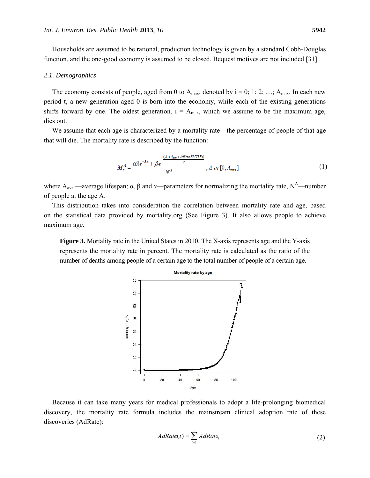Households are assumed to be rational, production technology is given by a standard Cobb-Douglas function, and the one-good economy is assumed to be closed. Bequest motives are not included [31].

#### *2.1. Demographics*

The economy consists of people, aged from 0 to  $A_{max}$ , denoted by  $i = 0; 1; 2; ...; A_{max}$ . In each new period t, a new generation aged 0 is born into the economy, while each of the existing generations shifts forward by one. The oldest generation,  $i = A_{max}$ , which we assume to be the maximum age, dies out.

We assume that each age is characterized by a mortality rate—the percentage of people of that age that will die. The mortality rate is described by the function:

$$
M_r^A = \frac{\alpha \lambda e^{-\lambda A} + \beta e^{\frac{-(A - (A_{\text{new}} + A d R \alpha \epsilon \epsilon B M T R^p))}{\gamma}}}{N^A}, \quad A \text{ in } [0, A_{\text{max}}] \tag{1}
$$

where A<sub>aver</sub>—average lifespan;  $\alpha$ ,  $\beta$  and  $\gamma$ —parameters for normalizing the mortality rate, N<sup>A</sup>—number of people at the age A.

This distribution takes into consideration the correlation between mortality rate and age, based on the statistical data provided by mortality.org (See Figure 3). It also allows people to achieve maximum age.

**Figure 3.** Mortality rate in the United States in 2010. The X-axis represents age and the Y-axis represents the mortality rate in percent. The mortality rate is calculated as the ratio of the number of deaths among people of a certain age to the total number of people of a certain age.



Because it can take many years for medical professionals to adopt a life-prolonging biomedical discovery, the mortality rate formula includes the mainstream clinical adoption rate of these discoveries (AdRate):

$$
AdRate(t) = \sum_{i=1}^{t} AdRate_i
$$
 (2)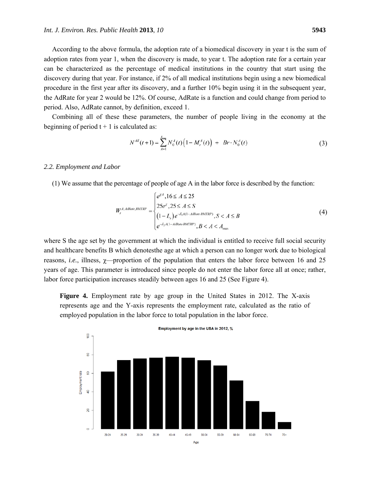According to the above formula, the adoption rate of a biomedical discovery in year t is the sum of adoption rates from year 1, when the discovery is made, to year t. The adoption rate for a certain year can be characterized as the percentage of medical institutions in the country that start using the discovery during that year. For instance, if 2% of all medical institutions begin using a new biomedical procedure in the first year after its discovery, and a further 10% begin using it in the subsequent year, the AdRate for year 2 would be 12%. Of course, AdRate is a function and could change from period to period. Also, AdRate cannot, by definition, exceed 1.

Combining all of these these parameters, the number of people living in the economy at the beginning of period  $t + 1$  is calculated as:

$$
N^{All}(t+1) = \sum_{A=1}^{A_{\text{max}}} N_0^A(t) \Big( 1 - M_r^A(t) \Big) + Br \cdot N_0^A(t) \tag{3}
$$

#### *2.2. Employment and Labor*

(1) We assume that the percentage of people of age A in the labor force is described by the function:

$$
W_r^{A, AdRate, BMTRP} = \begin{cases} e^{\chi A}, 16 \le A \le 25\\ 25e^{\chi}, 25 \le A \le S\\ (1 - L_s)e^{-\delta_1 A (1 - AdRate-BMTRP)}, S < A \le B\\ e^{-\delta_2 A (1 - AdRate-BMTRP)}, B < A < A_{\text{max}} \end{cases}
$$
(4)

where S the age set by the government at which the individual is entitled to receive full social security and healthcare benefits B which denotesthe age at which a person can no longer work due to biological reasons, *i.e.*, illness, χ—proportion of the population that enters the labor force between 16 and 25 years of age. This parameter is introduced since people do not enter the labor force all at once; rather, labor force participation increases steadily between ages 16 and 25 (See Figure 4).

**Figure 4.** Employment rate by age group in the United States in 2012. The X-axis represents age and the Y-axis represents the employment rate, calculated as the ratio of employed population in the labor force to total population in the labor force.

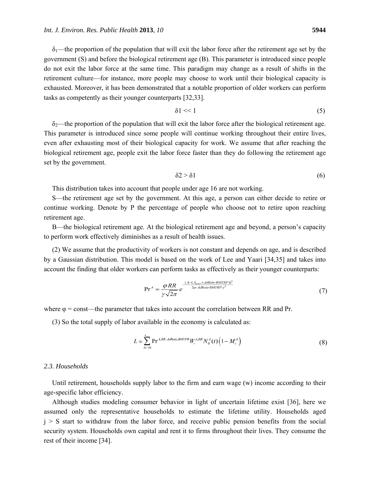$\delta_1$ —the proportion of the population that will exit the labor force after the retirement age set by the government (S) and before the biological retirement age (B). This parameter is introduced since people do not exit the labor force at the same time. This paradigm may change as a result of shifts in the retirement culture—for instance, more people may choose to work until their biological capacity is exhausted. Moreover, it has been demonstrated that a notable proportion of older workers can perform tasks as competently as their younger counterparts [32,33].

$$
\delta 1 \ll 1 \tag{5}
$$

 $\delta_2$ —the proportion of the population that will exit the labor force after the biological retirement age. This parameter is introduced since some people will continue working throughout their entire lives, even after exhausting most of their biological capacity for work. We assume that after reaching the biological retirement age, people exit the labor force faster than they do following the retirement age set by the government.

$$
\delta 2 > \delta 1 \tag{6}
$$

This distribution takes into account that people under age 16 are not working.

S—the retirement age set by the government. At this age, a person can either decide to retire or continue working. Denote by P the percentage of people who choose not to retire upon reaching retirement age.

B—the biological retirement age. At the biological retirement age and beyond, a person's capacity to perform work effectively diminishes as a result of health issues.

(2) We assume that the productivity of workers is not constant and depends on age, and is described by a Gaussian distribution. This model is based on the work of Lee and Yaari [34,35] and takes into account the finding that older workers can perform tasks as effectively as their younger counterparts:

$$
Pr^A = \frac{\varphi RR}{\gamma \sqrt{2\pi}} e^{-\frac{(A - (A_{\text{ave}} + A d \text{Rate} - B M T R P))^2}{2\varphi \cdot A d \text{Rate} - B M T R P \cdot \gamma^2}}
$$
(7)

where  $\varphi$  = const—the parameter that takes into account the correlation between RR and Pr.

(3) So the total supply of labor available in the economy is calculated as:

$$
L = \sum_{A=16}^{A_{\text{max}}} \Pr^{A,RR.AdRate,BMTPR} W_r^{A,RR} N_0^A(t) \left(1 - M_r^A\right)
$$
 (8)

#### *2.3. Households*

Until retirement, households supply labor to the firm and earn wage (w) income according to their age-specific labor efficiency.

Although studies modeling consumer behavior in light of uncertain lifetime exist [36], here we assumed only the representative households to estimate the lifetime utility. Households aged  $j > S$  start to withdraw from the labor force, and receive public pension benefits from the social security system. Households own capital and rent it to firms throughout their lives. They consume the rest of their income [34].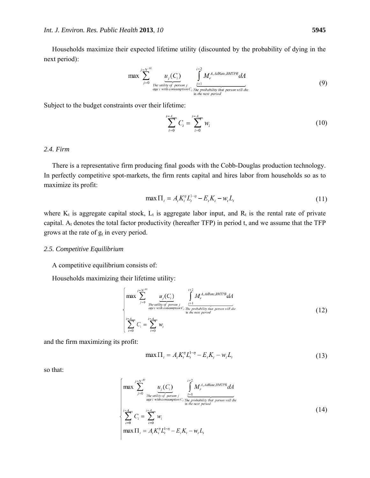Households maximize their expected lifetime utility (discounted by the probability of dying in the next period):

$$
\max \sum_{j=0}^{j=N^{All}} \underbrace{u_j(C_i)}_{\substack{\text{The utility of person } j \\ \text{age } i \text{ with consumption } C_i \text{ The probability that person will die} }}^{i+2} M_r^{A, AdRate, BMTPR} dA
$$
\n(9)

Subject to the budget constraints over their lifetime:

$$
\sum_{i=0}^{i=A_{\max}} C_i = \sum_{i=0}^{i=A_{\max}} w_i
$$
 (10)

## *2.4. Firm*

There is a representative firm producing final goods with the Cobb-Douglas production technology. In perfectly competitive spot-markets, the firm rents capital and hires labor from households so as to maximize its profit:

$$
\max \Pi_{t} = A_{t} K_{t}^{\eta} L_{t}^{1-\eta} - E_{t} K_{t} - w_{t} L_{t}
$$
\n(11)

where  $K_t$  is aggregate capital stock,  $L_t$  is aggregate labor input, and  $R_t$  is the rental rate of private capital. At denotes the total factor productivity (hereafter TFP) in period t, and we assume that the TFP grows at the rate of  $g_t$  in every period.

## *2.5. Competitive Equilibrium*

A competitive equilibrium consists of:

Households maximizing their lifetime utility:

$$
\begin{cases}\n\max \sum_{j=0}^{j=N^{All}} \frac{u_j(C_i)}{\sum_{\substack{\text{The utility of person } j}} \sum_{\substack{i=1 \text{ random } j}}^{i+2} M_r^{A,AdRate,BMTPR} dA \\
\text{age i with consumption } C_i \text{ The probability that person will die} \\
\sum_{i=0}^{i=A_{\text{max}}} C_i = \sum_{i=0}^{i=A_{\text{max}}} w_i\n\end{cases} \tag{12}
$$

and the firm maximizing its profit:

$$
\max \Pi_{t} = A_{t} K_{t}^{\eta} L_{t}^{1-\eta} - E_{t} K_{t} - w_{t} L_{t}
$$
\n(13)

so that:

$$
\begin{cases}\n\max \sum_{j=0}^{j=N^{All}} \underbrace{u_j(C_i)}_{\text{The utility of person } j} \int\limits_{\text{error } C_i \text{ The probability of } \text{in the next period}}^{i+2} M_r^{A, AdRate, BMTPR} dA \\
\sum_{i=0}^{i=A_{\text{max}}} C_i = \sum_{i=0}^{i=A_{\text{max}}} w_i \\
\max \Pi_t = A_t K_t^{\eta} L_t^{1-\eta} - E_t K_t - w_t L_t\n\end{cases} \tag{14}
$$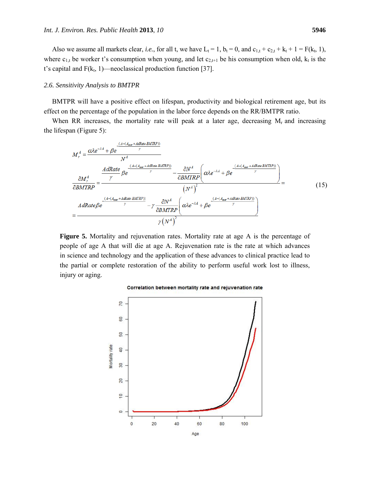Also we assume all markets clear, *i.e.*, for all t, we have  $L_t = 1$ ,  $b_t = 0$ , and  $c_{1,t} + c_{2,t} + k_t + 1 = F(k_t, 1)$ , where  $c_{1,t}$  be worker t's consumption when young, and let  $c_{2,t+1}$  be his consumption when old,  $k_t$  is the t's capital and  $F(k_t, 1)$ —neoclassical production function [37].

#### *2.6. Sensitivity Analysis to BMTPR*

BMTPR will have a positive effect on lifespan, productivity and biological retirement age, but its effect on the percentage of the population in the labor force depends on the RR/BMTPR ratio.

When RR increases, the mortality rate will peak at a later age, decreasing  $M_r$  and increasing the lifespan (Figure 5):

$$
M_r^A = \frac{\alpha \lambda e^{-\lambda A} + \beta e^{-\frac{(A - (A_{\text{new}} + A d R \text{ate } B M T R P))}{\gamma}}}{N^A}
$$
  
\n
$$
\frac{\partial M_r^A}{\partial B M T R P} = \frac{\frac{A d R \text{ate}}{\gamma} \beta e^{-\frac{(A - (A_{\text{new}} + A d R \text{ate } B M T R P))}{\gamma}} - \frac{\partial N^A}{\partial B M T R P} \left(\alpha \lambda e^{-\lambda A} + \beta e^{-\frac{(A - (A_{\text{new}} + A d R \text{ate } B M T R P))}{\gamma}}\right)}{(N^A)^2}}{N^A}
$$
  
\n
$$
= \frac{A d R \text{ate} \beta e^{-\frac{(A - (A_{\text{new}} + A d R \text{ate } B M T R P))}{\gamma}} - \gamma \frac{\partial N^A}{\partial B M T R P} \left(\alpha \lambda e^{-\lambda A} + \beta e^{-\frac{(A - (A_{\text{new}} + A d R \text{ate } B M T R P))}{\gamma}}\right)}{\gamma (N^A)^2}
$$
(15)

**Figure 5.** Mortality and rejuvenation rates. Mortality rate at age A is the percentage of people of age A that will die at age A. Rejuvenation rate is the rate at which advances in science and technology and the application of these advances to clinical practice lead to the partial or complete restoration of the ability to perform useful work lost to illness, injury or aging.



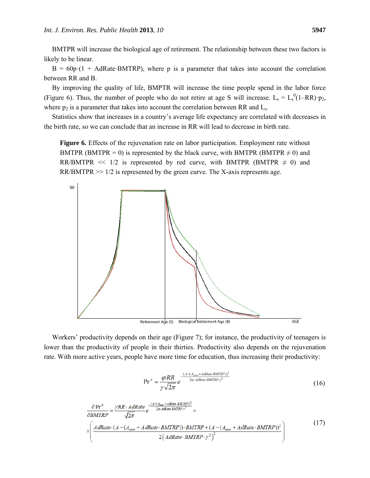BMTPR will increase the biological age of retirement. The relationship between these two factors is likely to be linear.

 $B = 60p(1 + A dRate-BMTRP)$ , where p is a parameter that takes into account the correlation between RR and B.

By improving the quality of life, BMPTR will increase the time people spend in the labor force (Figure 6). Thus, the number of people who do not retire at age S will increase.  $L_s = L_s^0(1-RR) \cdot p_2$ , where  $p_2$  is a parameter that takes into account the correlation between RR and  $L_s$ .

Statistics show that increases in a country's average life expectancy are correlated with decreases in the birth rate, so we can conclude that an increase in RR will lead to decrease in birth rate.

**Figure 6.** Effects of the rejuvenation rate on labor participation. Employment rate without BMTPR (BMTPR = 0) is represented by the black curve, with BMTPR (BMTPR  $\neq$  0) and RR/BMTPR  $\leq 1/2$  is represented by red curve, with BMTPR (BMTPR  $\neq 0$ ) and  $RR/BMTPR \gg 1/2$  is represented by the green curve. The X-axis represents age.



Workers' productivity depends on their age (Figure 7); for instance, the productivity of teenagers is lower than the productivity of people in their thirties. Productivity also depends on the rejuvenation rate. With more active years, people have more time for education, thus increasing their productivity:

$$
Pr^A = \frac{\varphi RR}{\gamma \sqrt{2\pi}} e^{-\frac{(A - (A_{ave} + AdRate - BMTRP))^2}{2\varphi \cdot AdRate - BMTRP \cdot \gamma^2}}
$$
(16)

$$
\frac{\partial \Pr^A}{\partial BMTRP} = \frac{\gamma RR \cdot AdRate}{\sqrt{2\pi}} e^{-\frac{(A - (A_{\text{cav}} + A dR\alpha t e \cdot BMTRP))^2}{2\varphi \cdot AdRate \cdot BMTRP \cdot \gamma^2}} \times \\ \times \left(\frac{AdRate \cdot (A - (A_{\text{cav}} + A dRate \cdot BMTRP)) \cdot BMTRP + (A - (A_{\text{cav}} + A dRate \cdot BMTRP))^2}{2(AdRate \cdot BMTRP \cdot \gamma^2)^2}\right)
$$
(17)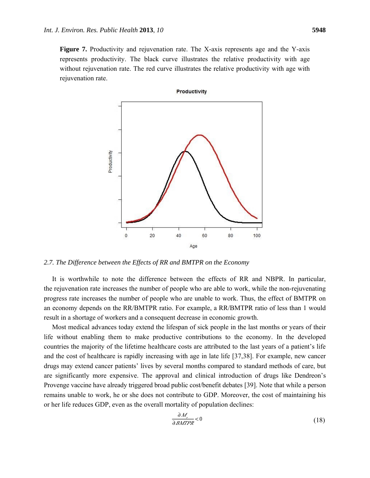**Figure 7.** Productivity and rejuvenation rate. The X-axis represents age and the Y-axis represents productivity. The black curve illustrates the relative productivity with age without rejuvenation rate. The red curve illustrates the relative productivity with age with rejuvenation rate.



*2.7. The Difference between the Effects of RR and BMTPR on the Economy* 

It is worthwhile to note the difference between the effects of RR and NBPR. In particular, the rejuvenation rate increases the number of people who are able to work, while the non-rejuvenating progress rate increases the number of people who are unable to work. Thus, the effect of BMTPR on an economy depends on the RR/BMTPR ratio. For example, a RR/BMTPR ratio of less than 1 would result in a shortage of workers and a consequent decrease in economic growth.

Most medical advances today extend the lifespan of sick people in the last months or years of their life without enabling them to make productive contributions to the economy. In the developed countries the majority of the lifetime healthcare costs are attributed to the last years of a patient's life and the cost of healthcare is rapidly increasing with age in late life [37,38]. For example, new cancer drugs may extend cancer patients' lives by several months compared to standard methods of care, but are significantly more expensive. The approval and clinical introduction of drugs like Dendreon's Provenge vaccine have already triggered broad public cost/benefit debates [39]. Note that while a person remains unable to work, he or she does not contribute to GDP. Moreover, the cost of maintaining his or her life reduces GDP, even as the overall mortality of population declines:

$$
\frac{\partial M_{\nu}}{\partial \text{BMTPR}} < 0 \tag{18}
$$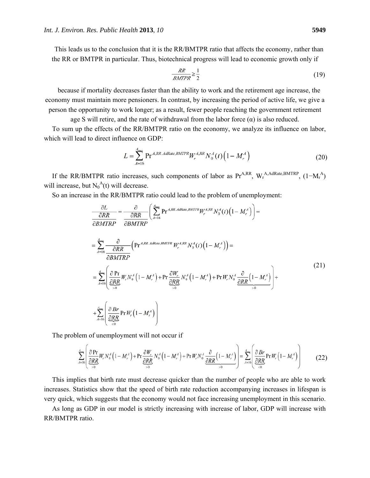This leads us to the conclusion that it is the RR/BMTPR ratio that affects the economy, rather than the RR or BMTPR in particular. Thus, biotechnical progress will lead to economic growth only if

$$
\frac{RR}{BMTPR} \ge \frac{1}{2}
$$
 (19)

because if mortality decreases faster than the ability to work and the retirement age increase, the economy must maintain more pensioners. In contrast, by increasing the period of active life, we give a person the opportunity to work longer; as a result, fewer people reaching the government retirement

age S will retire, and the rate of withdrawal from the labor force  $(\alpha)$  is also reduced. To sum up the effects of the RR/BMTPR ratio on the economy, we analyze its influence on labor, which will lead to direct influence on GDP:

$$
L = \sum_{A=16}^{A_{\text{max}}} \Pr^{A,RR,AdRate,BMTPR} W_r^{A,RR} N_0^A(t) \left(1 - M_r^A\right)
$$
 (20)

If the RR/BMTPR ratio increases, such components of labor as  $Pr^{A,RR}$ ,  $W_r^{A,AdRate,BMTRP}$ ,  $(1-M_r^A)$ will increase, but  $N_0^A(t)$  will decrease.

So an increase in the RR/BMTPR ratio could lead to the problem of unemployment:

$$
\frac{\partial L}{\partial RR} = \frac{\partial}{\partial RR} \left( \sum_{A=16}^{A_{\text{max}}} \Pr^{A,RR,AdRate,BMTPR} W_{r}^{A,RR} N_{0}^{A}(t) \left( 1 - M_{r}^{A} \right) \right) =
$$
\n
$$
= \sum_{A=16}^{A_{\text{max}}} \frac{\partial}{\partial RMTRP} \left( \Pr^{A,RR,AdRate,BMTPR} W_{r}^{A,RR} N_{0}^{A}(t) \left( 1 - M_{r}^{A} \right) \right) =
$$
\n
$$
= \sum_{A=16}^{A_{\text{max}}} \left( \frac{\partial \Pr}{\partial RMTRP} W_{r} N_{0}^{A} \left( 1 - M_{r}^{A} \right) + \Pr \frac{\partial W_{r}}{\partial RMR} N_{0}^{A} \left( 1 - M_{r}^{A} \right) + \Pr W_{r} N_{0}^{A} \frac{\partial}{\partial RR} \left( 1 - M_{r}^{A} \right) \right) +
$$
\n
$$
+ \sum_{A=16}^{A_{\text{max}}} \left( \frac{\partial \Pr}{\partial RR} \Pr W_{r} \left( 1 - M_{r}^{A} \right) \right)
$$
\n(21)

The problem of unemployment will not occur if

$$
\sum_{A=16}^{A_{\text{max}}} \left( \frac{\partial \Pr}{\partial \text{RR}} W_r N_0^A \left( 1 - M_r^A \right) + \Pr \frac{\partial W_r}{\partial \text{RR}} N_0^A \left( 1 - M_r^A \right) + \Pr W_r N_0^A \frac{\partial}{\partial \text{RR}} \left( 1 - M_r^A \right) \right) = \sum_{A=16}^{A_{\text{max}}} \left( \frac{\partial \text{Br}}{\partial \text{RR}} \Pr W_r \left( 1 - M_r^A \right) \right) \tag{22}
$$

This implies that birth rate must decrease quicker than the number of people who are able to work increases. Statistics show that the speed of birth rate reduction accompanying increases in lifespan is very quick, which suggests that the economy would not face increasing unemployment in this scenario.

As long as GDP in our model is strictly increasing with increase of labor, GDP will increase with RR/BMTPR ratio.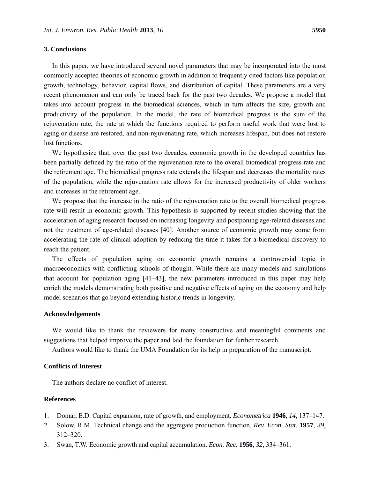## **3. Conclusions**

In this paper, we have introduced several novel parameters that may be incorporated into the most commonly accepted theories of economic growth in addition to frequently cited factors like population growth, technology, behavior, capital flows, and distribution of capital. These parameters are a very recent phenomenon and can only be traced back for the past two decades. We propose a model that takes into account progress in the biomedical sciences, which in turn affects the size, growth and productivity of the population. In the model, the rate of biomedical progress is the sum of the rejuvenation rate, the rate at which the functions required to perform useful work that were lost to aging or disease are restored, and non-rejuvenating rate, which increases lifespan, but does not restore lost functions.

We hypothesize that, over the past two decades, economic growth in the developed countries has been partially defined by the ratio of the rejuvenation rate to the overall biomedical progress rate and the retirement age. The biomedical progress rate extends the lifespan and decreases the mortality rates of the population, while the rejuvenation rate allows for the increased productivity of older workers and increases in the retirement age.

We propose that the increase in the ratio of the rejuvenation rate to the overall biomedical progress rate will result in economic growth. This hypothesis is supported by recent studies showing that the acceleration of aging research focused on increasing longevity and postponing age-related diseases and not the treatment of age-related diseases [40]. Another source of economic growth may come from accelerating the rate of clinical adoption by reducing the time it takes for a biomedical discovery to reach the patient.

The effects of population aging on economic growth remains a controversial topic in macroeconomics with conflicting schools of thought. While there are many models and simulations that account for population aging [41–43], the new parameters introduced in this paper may help enrich the models demonstrating both positive and negative effects of aging on the economy and help model scenarios that go beyond extending historic trends in longevity.

## **Acknowledgements**

We would like to thank the reviewers for many constructive and meaningful comments and suggestions that helped improve the paper and laid the foundation for further research.

Authors would like to thank the UMA Foundation for its help in preparation of the manuscript.

## **Conflicts of Interest**

The authors declare no conflict of interest.

# **References**

- 1. Domar, E.D. Capital expansion, rate of growth, and employment. *Econometrica* **1946**, *14*, 137–147.
- 2. Solow, R.M. Technical change and the aggregate production function. *Rev. Econ. Stat.* **1957**, *39*, 312–320.
- 3. Swan, T.W. Economic growth and capital accumulation. *Econ. Rec.* **1956**, *32*, 334–361.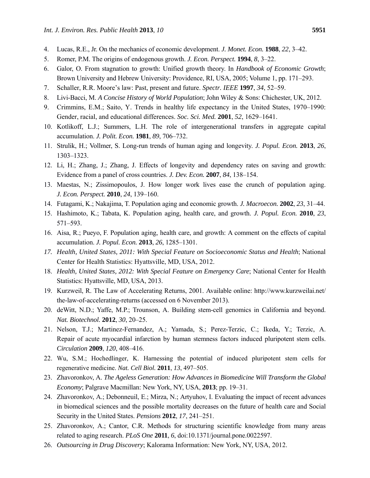- 4. Lucas, R.E., Jr. On the mechanics of economic development. *J. Monet. Econ.* **1988**, *22*, 3–42.
- 5. Romer, P.M. The origins of endogenous growth. *J. Econ. Perspect.* **1994**, *8*, 3–22.
- 6. Galor, O. From stagnation to growth: Unified growth theory. In *Handbook of Economic Growth*; Brown University and Hebrew University: Providence, RI, USA, 2005; Volume 1, pp. 171–293.
- 7. Schaller, R.R. Moore's law: Past, present and future. *Spectr. IEEE* **1997**, *34*, 52–59.
- 8. Livi-Bacci, M. *A Concise History of World Population*; John Wiley & Sons: Chichester, UK, 2012.
- 9. Crimmins, E.M.; Saito, Y. Trends in healthy life expectancy in the United States, 1970–1990: Gender, racial, and educational differences. *Soc. Sci. Med.* **2001**, *52*, 1629–1641.
- 10. Kotlikoff, L.J.; Summers, L.H. The role of intergenerational transfers in aggregate capital accumulation. *J. Polit. Econ.* **1981**, *89*, 706–732.
- 11. Strulik, H.; Vollmer, S. Long-run trends of human aging and longevity. *J. Popul. Econ.* **2013**, *26*, 1303–1323.
- 12. Li, H.; Zhang, J.; Zhang, J. Effects of longevity and dependency rates on saving and growth: Evidence from a panel of cross countries. *J. Dev. Econ.* **2007**, *84*, 138–154.
- 13. Maestas, N.; Zissimopoulos, J. How longer work lives ease the crunch of population aging. *J. Econ. Perspect.* **2010**, *24*, 139–160.
- 14. Futagami, K.; Nakajima, T. Population aging and economic growth. *J. Macroecon.* **2002**, *23*, 31–44.
- 15. Hashimoto, K.; Tabata, K. Population aging, health care, and growth. *J. Popul. Econ.* **2010**, *23*, 571–593.
- 16. Aisa, R.; Pueyo, F. Population aging, health care, and growth: A comment on the effects of capital accumulation. *J. Popul. Econ.* **2013**, *26*, 1285–1301.
- *17. Health, United States, 2011: With Special Feature on Socioeconomic Status and Health*; National Center for Health Statistics: Hyattsville, MD, USA, 2012.
- 18. *Health, United States, 2012: With Special Feature on Emergency Care*; National Center for Health Statistics: Hyattsville, MD, USA, 2013.
- 19. Kurzweil, R. The Law of Accelerating Returns, 2001. Available online: http://www.kurzweilai.net/ the-law-of-accelerating-returns (accessed on 6 November 2013).
- 20. deWitt, N.D.; Yaffe, M.P.; Trounson, A. Building stem-cell genomics in California and beyond. *Nat. Biotechnol.* **2012**, *30*, 20–25.
- 21. Nelson, T.J.; Martinez-Fernandez, A.; Yamada, S.; Perez-Terzic, C.; Ikeda, Y.; Terzic, A. Repair of acute myocardial infarction by human stemness factors induced pluripotent stem cells. *Circulation* **2009**, *120*, 408–416.
- 22. Wu, S.M.; Hochedlinger, K. Harnessing the potential of induced pluripotent stem cells for regenerative medicine. *Nat. Cell Biol.* **2011**, *13*, 497–505.
- 23. Zhavoronkov, A. *The Ageless Generation: How Advances in Biomedicine Will Transform the Global Economy*; Palgrave Macmillan: New York, NY, USA, **2013**; pp. 19–31.
- 24. Zhavoronkov, A.; Debonneuil, E.; Mirza, N.; Artyuhov, I. Evaluating the impact of recent advances in biomedical sciences and the possible mortality decreases on the future of health care and Social Security in the United States. *Pensions* **2012**, *17*, 241–251.
- 25. Zhavoronkov, A.; Cantor, C.R. Methods for structuring scientific knowledge from many areas related to aging research. *PLoS One* **2011**, *6*, doi:10.1371/journal.pone.0022597.
- 26. *Outsourcing in Drug Discovery*; Kalorama Information: New York, NY, USA, 2012.